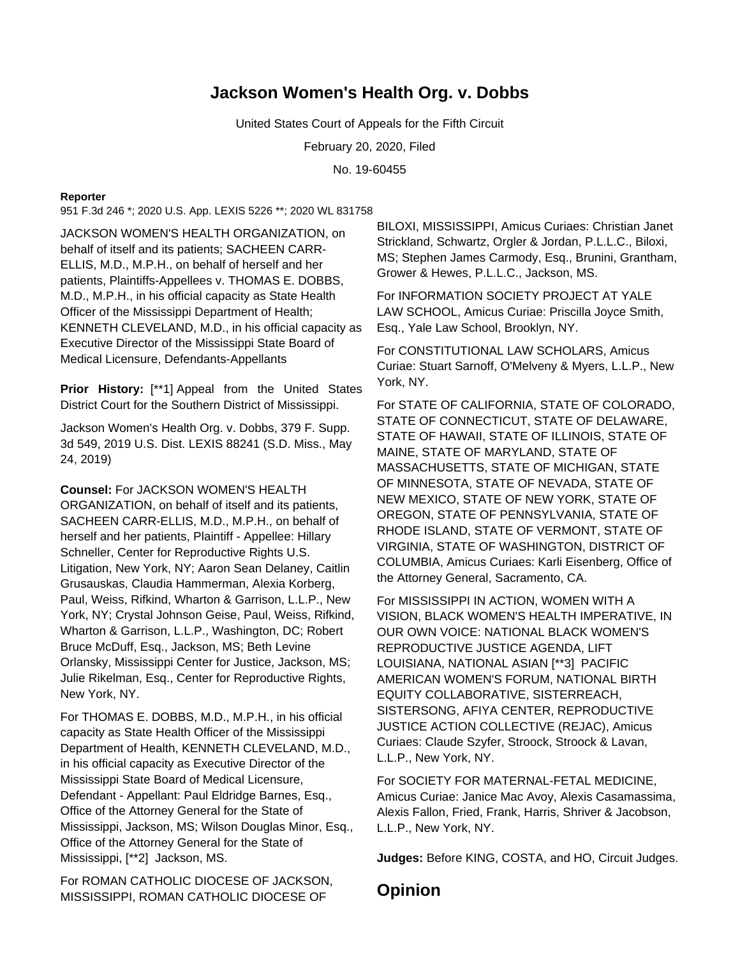## **Jackson Women's Health Org. v. Dobbs**

United States Court of Appeals for the Fifth Circuit

February 20, 2020, Filed

No. 19-60455

## **Reporter**

951 F.3d 246 \*; 2020 U.S. App. LEXIS 5226 \*\*; 2020 WL 831758

JACKSON WOMEN'S HEALTH ORGANIZATION, on behalf of itself and its patients; SACHEEN CARR-ELLIS, M.D., M.P.H., on behalf of herself and her patients, Plaintiffs-Appellees v. THOMAS E. DOBBS, M.D., M.P.H., in his official capacity as State Health Officer of the Mississippi Department of Health; KENNETH CLEVELAND, M.D., in his official capacity as Executive Director of the Mississippi State Board of Medical Licensure, Defendants-Appellants

**Prior History:** [\*\*1] Appeal from the United States District Court for the Southern District of Mississippi.

Jackson Women's Health Org. v. Dobbs, 379 F. Supp. 3d 549, 2019 U.S. Dist. LEXIS 88241 (S.D. Miss., May 24, 2019)

**Counsel:** For JACKSON WOMEN'S HEALTH ORGANIZATION, on behalf of itself and its patients, SACHEEN CARR-ELLIS, M.D., M.P.H., on behalf of herself and her patients, Plaintiff - Appellee: Hillary Schneller, Center for Reproductive Rights U.S. Litigation, New York, NY; Aaron Sean Delaney, Caitlin Grusauskas, Claudia Hammerman, Alexia Korberg, Paul, Weiss, Rifkind, Wharton & Garrison, L.L.P., New York, NY; Crystal Johnson Geise, Paul, Weiss, Rifkind, Wharton & Garrison, L.L.P., Washington, DC; Robert Bruce McDuff, Esq., Jackson, MS; Beth Levine Orlansky, Mississippi Center for Justice, Jackson, MS; Julie Rikelman, Esq., Center for Reproductive Rights, New York, NY.

For THOMAS E. DOBBS, M.D., M.P.H., in his official capacity as State Health Officer of the Mississippi Department of Health, KENNETH CLEVELAND, M.D., in his official capacity as Executive Director of the Mississippi State Board of Medical Licensure, Defendant - Appellant: Paul Eldridge Barnes, Esq., Office of the Attorney General for the State of Mississippi, Jackson, MS; Wilson Douglas Minor, Esq., Office of the Attorney General for the State of Mississippi, [\*\*2] Jackson, MS.

For ROMAN CATHOLIC DIOCESE OF JACKSON, MISSISSIPPI, ROMAN CATHOLIC DIOCESE OF

BILOXI, MISSISSIPPI, Amicus Curiaes: Christian Janet Strickland, Schwartz, Orgler & Jordan, P.L.L.C., Biloxi, MS; Stephen James Carmody, Esq., Brunini, Grantham, Grower & Hewes, P.L.L.C., Jackson, MS.

For INFORMATION SOCIETY PROJECT AT YALE LAW SCHOOL, Amicus Curiae: Priscilla Joyce Smith, Esq., Yale Law School, Brooklyn, NY.

For CONSTITUTIONAL LAW SCHOLARS, Amicus Curiae: Stuart Sarnoff, O'Melveny & Myers, L.L.P., New York, NY.

For STATE OF CALIFORNIA, STATE OF COLORADO, STATE OF CONNECTICUT, STATE OF DELAWARE, STATE OF HAWAII, STATE OF ILLINOIS, STATE OF MAINE, STATE OF MARYLAND, STATE OF MASSACHUSETTS, STATE OF MICHIGAN, STATE OF MINNESOTA, STATE OF NEVADA, STATE OF NEW MEXICO, STATE OF NEW YORK, STATE OF OREGON, STATE OF PENNSYLVANIA, STATE OF RHODE ISLAND, STATE OF VERMONT, STATE OF VIRGINIA, STATE OF WASHINGTON, DISTRICT OF COLUMBIA, Amicus Curiaes: Karli Eisenberg, Office of the Attorney General, Sacramento, CA.

For MISSISSIPPI IN ACTION, WOMEN WITH A VISION, BLACK WOMEN'S HEALTH IMPERATIVE, IN OUR OWN VOICE: NATIONAL BLACK WOMEN'S REPRODUCTIVE JUSTICE AGENDA, LIFT LOUISIANA, NATIONAL ASIAN [\*\*3] PACIFIC AMERICAN WOMEN'S FORUM, NATIONAL BIRTH EQUITY COLLABORATIVE, SISTERREACH, SISTERSONG, AFIYA CENTER, REPRODUCTIVE JUSTICE ACTION COLLECTIVE (REJAC), Amicus Curiaes: Claude Szyfer, Stroock, Stroock & Lavan, L.L.P., New York, NY.

For SOCIETY FOR MATERNAL-FETAL MEDICINE, Amicus Curiae: Janice Mac Avoy, Alexis Casamassima, Alexis Fallon, Fried, Frank, Harris, Shriver & Jacobson, L.L.P., New York, NY.

**Judges:** Before KING, COSTA, and HO, Circuit Judges.

**Opinion**